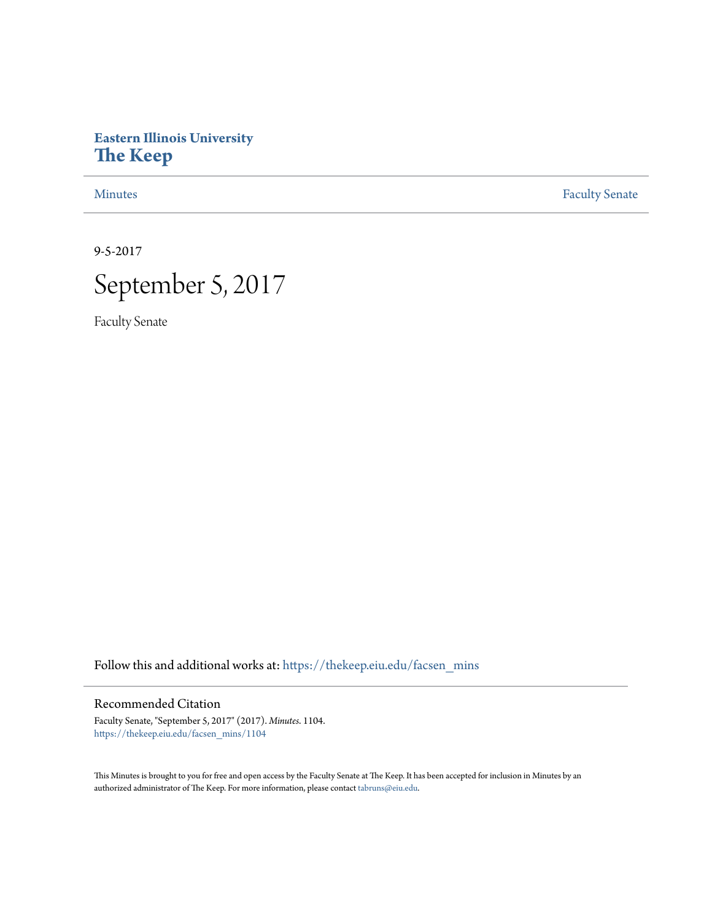# **Eastern Illinois University [The Keep](https://thekeep.eiu.edu?utm_source=thekeep.eiu.edu%2Ffacsen_mins%2F1104&utm_medium=PDF&utm_campaign=PDFCoverPages)**

[Minutes](https://thekeep.eiu.edu/facsen_mins?utm_source=thekeep.eiu.edu%2Ffacsen_mins%2F1104&utm_medium=PDF&utm_campaign=PDFCoverPages) **[Faculty Senate](https://thekeep.eiu.edu/fac_senate?utm_source=thekeep.eiu.edu%2Ffacsen_mins%2F1104&utm_medium=PDF&utm_campaign=PDFCoverPages)** 

9-5-2017



Faculty Senate

Follow this and additional works at: [https://thekeep.eiu.edu/facsen\\_mins](https://thekeep.eiu.edu/facsen_mins?utm_source=thekeep.eiu.edu%2Ffacsen_mins%2F1104&utm_medium=PDF&utm_campaign=PDFCoverPages)

# Recommended Citation

Faculty Senate, "September 5, 2017" (2017). *Minutes*. 1104. [https://thekeep.eiu.edu/facsen\\_mins/1104](https://thekeep.eiu.edu/facsen_mins/1104?utm_source=thekeep.eiu.edu%2Ffacsen_mins%2F1104&utm_medium=PDF&utm_campaign=PDFCoverPages)

This Minutes is brought to you for free and open access by the Faculty Senate at The Keep. It has been accepted for inclusion in Minutes by an authorized administrator of The Keep. For more information, please contact [tabruns@eiu.edu](mailto:tabruns@eiu.edu).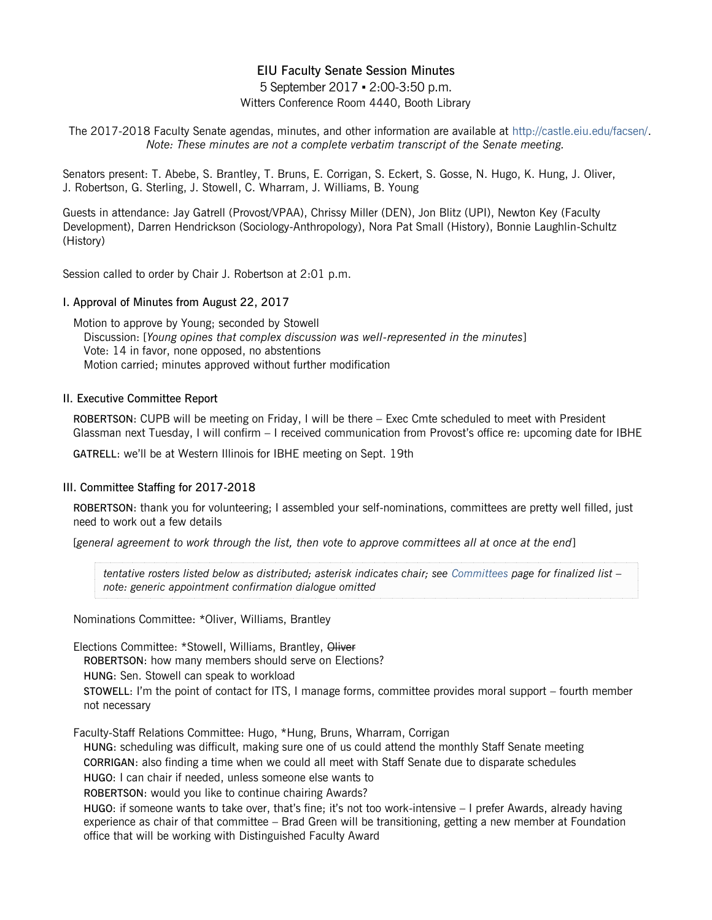# EIU Faculty Senate Session Minutes

5 September 2017 ▪ 2:00-3:50 p.m. Witters Conference Room 4440, Booth Library

The 2017-2018 Faculty Senate agendas, minutes, and other information are available at [http://castle.eiu.edu/facsen/.](http://castle.eiu.edu/facsen/) *Note: These minutes are not a complete verbatim transcript of the Senate meeting.*

Senators present: T. Abebe, S. Brantley, T. Bruns, E. Corrigan, S. Eckert, S. Gosse, N. Hugo, K. Hung, J. Oliver, J. Robertson, G. Sterling, J. Stowell, C. Wharram, J. Williams, B. Young

Guests in attendance: Jay Gatrell (Provost/VPAA), Chrissy Miller (DEN), Jon Blitz (UPI), Newton Key (Faculty Development), Darren Hendrickson (Sociology-Anthropology), Nora Pat Small (History), Bonnie Laughlin-Schultz (History)

Session called to order by Chair J. Robertson at 2:01 p.m.

#### I. Approval of Minutes from August 22, 2017

Motion to approve by Young; seconded by Stowell Discussion: [*Young opines that complex discussion was well-represented in the minutes*] Vote: 14 in favor, none opposed, no abstentions Motion carried; minutes approved without further modification

#### II. Executive Committee Report

ROBERTSON: CUPB will be meeting on Friday, I will be there – Exec Cmte scheduled to meet with President Glassman next Tuesday, I will confirm – I received communication from Provost's office re: upcoming date for IBHE

GATRELL: we'll be at Western Illinois for IBHE meeting on Sept. 19th

#### III. Committee Staffing for 2017-2018

ROBERTSON: thank you for volunteering; I assembled your self-nominations, committees are pretty well filled, just need to work out a few details

[*general agreement to work through the list, then vote to approve committees all at once at the end*]

*tentative rosters listed below as distributed; asterisk indicates chair; see [Committees](http://castle.eiu.edu/facsen/subcommittees1718.php) page for finalized list – note: generic appointment confirmation dialogue omitted*

Nominations Committee: \*Oliver, Williams, Brantley

Elections Committee: \*Stowell, Williams, Brantley, Oliver

ROBERTSON: how many members should serve on Elections?

HUNG: Sen. Stowell can speak to workload

STOWELL: I'm the point of contact for ITS, I manage forms, committee provides moral support – fourth member not necessary

Faculty-Staff Relations Committee: Hugo, \*Hung, Bruns, Wharram, Corrigan

HUNG: scheduling was difficult, making sure one of us could attend the monthly Staff Senate meeting CORRIGAN: also finding a time when we could all meet with Staff Senate due to disparate schedules HUGO: I can chair if needed, unless someone else wants to

ROBERTSON: would you like to continue chairing Awards?

HUGO: if someone wants to take over, that's fine; it's not too work-intensive – I prefer Awards, already having experience as chair of that committee – Brad Green will be transitioning, getting a new member at Foundation office that will be working with Distinguished Faculty Award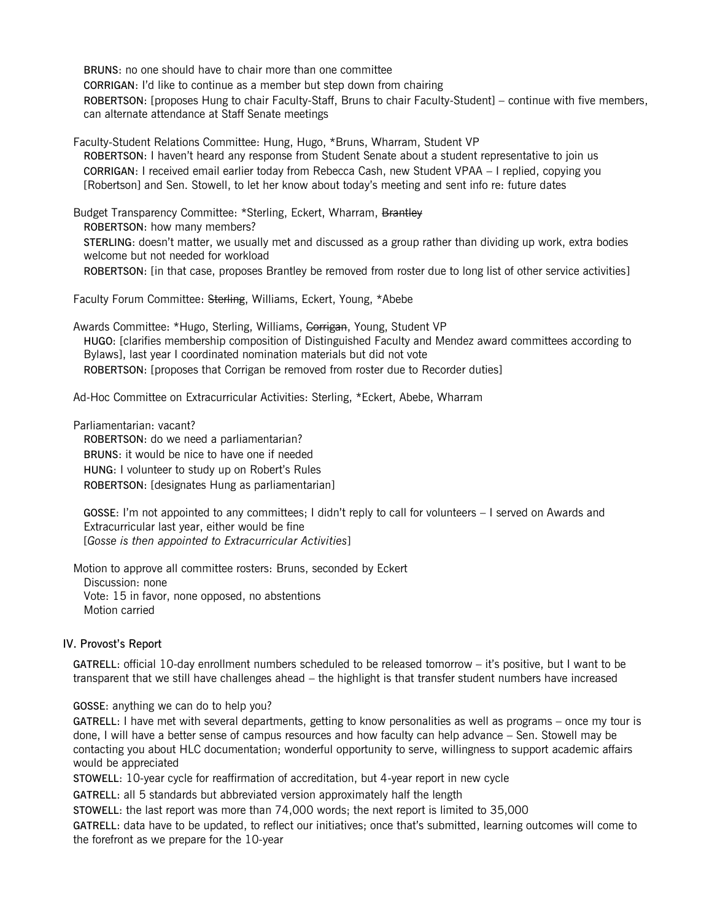BRUNS: no one should have to chair more than one committee CORRIGAN: I'd like to continue as a member but step down from chairing ROBERTSON: [proposes Hung to chair Faculty-Staff, Bruns to chair Faculty-Student] – continue with five members, can alternate attendance at Staff Senate meetings

Faculty-Student Relations Committee: Hung, Hugo, \*Bruns, Wharram, Student VP ROBERTSON: I haven't heard any response from Student Senate about a student representative to join us CORRIGAN: I received email earlier today from Rebecca Cash, new Student VPAA – I replied, copying you [Robertson] and Sen. Stowell, to let her know about today's meeting and sent info re: future dates

Budget Transparency Committee: \*Sterling, Eckert, Wharram, Brantley ROBERTSON: how many members? STERLING: doesn't matter, we usually met and discussed as a group rather than dividing up work, extra bodies welcome but not needed for workload ROBERTSON: [in that case, proposes Brantley be removed from roster due to long list of other service activities]

Faculty Forum Committee: Sterling, Williams, Eckert, Young, \*Abebe

Awards Committee: \*Hugo, Sterling, Williams, Corrigan, Young, Student VP HUGO: [clarifies membership composition of Distinguished Faculty and Mendez award committees according to Bylaws], last year I coordinated nomination materials but did not vote ROBERTSON: [proposes that Corrigan be removed from roster due to Recorder duties]

Ad-Hoc Committee on Extracurricular Activities: Sterling, \*Eckert, Abebe, Wharram

Parliamentarian: vacant? ROBERTSON: do we need a parliamentarian? BRUNS: it would be nice to have one if needed HUNG: I volunteer to study up on Robert's Rules ROBERTSON: [designates Hung as parliamentarian]

GOSSE: I'm not appointed to any committees; I didn't reply to call for volunteers – I served on Awards and Extracurricular last year, either would be fine [*Gosse is then appointed to Extracurricular Activities*]

Motion to approve all committee rosters: Bruns, seconded by Eckert Discussion: none Vote: 15 in favor, none opposed, no abstentions Motion carried

#### IV. Provost's Report

GATRELL: official 10-day enrollment numbers scheduled to be released tomorrow – it's positive, but I want to be transparent that we still have challenges ahead – the highlight is that transfer student numbers have increased

GOSSE: anything we can do to help you?

GATRELL: I have met with several departments, getting to know personalities as well as programs – once my tour is done, I will have a better sense of campus resources and how faculty can help advance – Sen. Stowell may be contacting you about HLC documentation; wonderful opportunity to serve, willingness to support academic affairs would be appreciated

STOWELL: 10-year cycle for reaffirmation of accreditation, but 4-year report in new cycle

GATRELL: all 5 standards but abbreviated version approximately half the length

STOWELL: the last report was more than 74,000 words; the next report is limited to 35,000

GATRELL: data have to be updated, to reflect our initiatives; once that's submitted, learning outcomes will come to the forefront as we prepare for the 10-year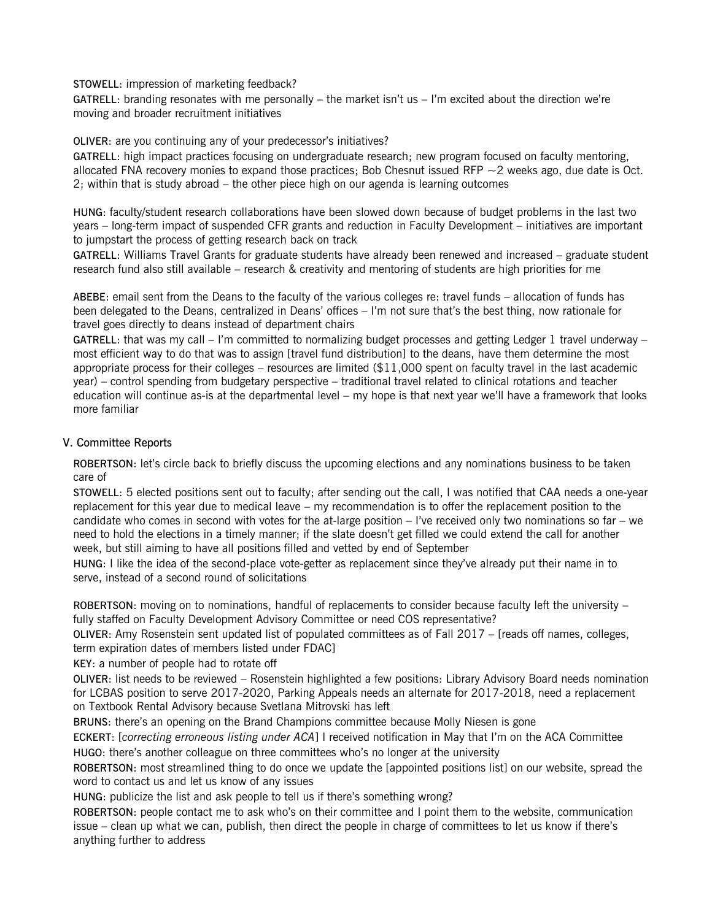STOWELL: impression of marketing feedback?

GATRELL: branding resonates with me personally – the market isn't us  $-1$ 'm excited about the direction we're moving and broader recruitment initiatives

OLIVER: are you continuing any of your predecessor's initiatives?

GATRELL: high impact practices focusing on undergraduate research; new program focused on faculty mentoring, allocated FNA recovery monies to expand those practices; Bob Chesnut issued RFP  $\sim$  2 weeks ago, due date is Oct. 2; within that is study abroad – the other piece high on our agenda is learning outcomes

HUNG: faculty/student research collaborations have been slowed down because of budget problems in the last two years – long-term impact of suspended CFR grants and reduction in Faculty Development – initiatives are important to jumpstart the process of getting research back on track

GATRELL: Williams Travel Grants for graduate students have already been renewed and increased – graduate student research fund also still available – research & creativity and mentoring of students are high priorities for me

ABEBE: email sent from the Deans to the faculty of the various colleges re: travel funds – allocation of funds has been delegated to the Deans, centralized in Deans' offices – I'm not sure that's the best thing, now rationale for travel goes directly to deans instead of department chairs

GATRELL: that was my call  $-$  I'm committed to normalizing budget processes and getting Ledger 1 travel underway  $$ most efficient way to do that was to assign [travel fund distribution] to the deans, have them determine the most appropriate process for their colleges – resources are limited (\$11,000 spent on faculty travel in the last academic year) – control spending from budgetary perspective – traditional travel related to clinical rotations and teacher education will continue as-is at the departmental level – my hope is that next year we'll have a framework that looks more familiar

## V. Committee Reports

ROBERTSON: let's circle back to briefly discuss the upcoming elections and any nominations business to be taken care of

STOWELL: 5 elected positions sent out to faculty; after sending out the call, I was notified that CAA needs a one-year replacement for this year due to medical leave – my recommendation is to offer the replacement position to the candidate who comes in second with votes for the at-large position – I've received only two nominations so far – we need to hold the elections in a timely manner; if the slate doesn't get filled we could extend the call for another week, but still aiming to have all positions filled and vetted by end of September

HUNG: I like the idea of the second-place vote-getter as replacement since they've already put their name in to serve, instead of a second round of solicitations

ROBERTSON: moving on to nominations, handful of replacements to consider because faculty left the university – fully staffed on Faculty Development Advisory Committee or need COS representative?

OLIVER: Amy Rosenstein sent updated list of populated committees as of Fall 2017 – [reads off names, colleges, term expiration dates of members listed under FDAC]

KEY: a number of people had to rotate off

OLIVER: list needs to be reviewed – Rosenstein highlighted a few positions: Library Advisory Board needs nomination for LCBAS position to serve 2017-2020, Parking Appeals needs an alternate for 2017-2018, need a replacement on Textbook Rental Advisory because Svetlana Mitrovski has left

BRUNS: there's an opening on the Brand Champions committee because Molly Niesen is gone

ECKERT: [*correcting erroneous listing under ACA*] I received notification in May that I'm on the ACA Committee HUGO: there's another colleague on three committees who's no longer at the university

ROBERTSON: most streamlined thing to do once we update the [appointed positions list] on our website, spread the word to contact us and let us know of any issues

HUNG: publicize the list and ask people to tell us if there's something wrong?

ROBERTSON: people contact me to ask who's on their committee and I point them to the website, communication issue – clean up what we can, publish, then direct the people in charge of committees to let us know if there's anything further to address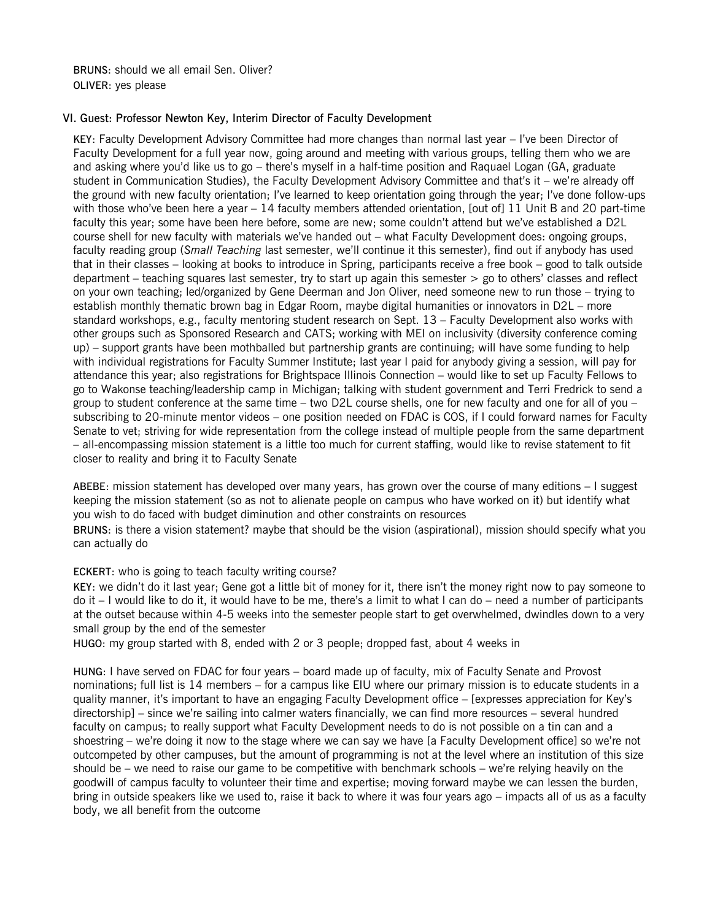BRUNS: should we all email Sen. Oliver? OLIVER: yes please

## VI. Guest: Professor Newton Key, Interim Director of Faculty Development

KEY: Faculty Development Advisory Committee had more changes than normal last year – I've been Director of Faculty Development for a full year now, going around and meeting with various groups, telling them who we are and asking where you'd like us to go – there's myself in a half-time position and Raquael Logan (GA, graduate student in Communication Studies), the Faculty Development Advisory Committee and that's it – we're already off the ground with new faculty orientation; I've learned to keep orientation going through the year; I've done follow-ups with those who've been here a year – 14 faculty members attended orientation, [out of] 11 Unit B and 20 part-time faculty this year; some have been here before, some are new; some couldn't attend but we've established a D2L course shell for new faculty with materials we've handed out – what Faculty Development does: ongoing groups, faculty reading group (*Small Teaching* last semester, we'll continue it this semester), find out if anybody has used that in their classes – looking at books to introduce in Spring, participants receive a free book – good to talk outside department – teaching squares last semester, try to start up again this semester > go to others' classes and reflect on your own teaching; led/organized by Gene Deerman and Jon Oliver, need someone new to run those – trying to establish monthly thematic brown bag in Edgar Room, maybe digital humanities or innovators in D2L – more standard workshops, e.g., faculty mentoring student research on Sept. 13 – Faculty Development also works with other groups such as Sponsored Research and CATS; working with MEI on inclusivity (diversity conference coming up) – support grants have been mothballed but partnership grants are continuing; will have some funding to help with individual registrations for Faculty Summer Institute; last year I paid for anybody giving a session, will pay for attendance this year; also registrations for Brightspace Illinois Connection – would like to set up Faculty Fellows to go to Wakonse teaching/leadership camp in Michigan; talking with student government and Terri Fredrick to send a group to student conference at the same time – two D2L course shells, one for new faculty and one for all of you – subscribing to 20-minute mentor videos – one position needed on FDAC is COS, if I could forward names for Faculty Senate to vet; striving for wide representation from the college instead of multiple people from the same department – all-encompassing mission statement is a little too much for current staffing, would like to revise statement to fit closer to reality and bring it to Faculty Senate

ABEBE: mission statement has developed over many years, has grown over the course of many editions – I suggest keeping the mission statement (so as not to alienate people on campus who have worked on it) but identify what you wish to do faced with budget diminution and other constraints on resources

BRUNS: is there a vision statement? maybe that should be the vision (aspirational), mission should specify what you can actually do

ECKERT: who is going to teach faculty writing course?

KEY: we didn't do it last year; Gene got a little bit of money for it, there isn't the money right now to pay someone to do it – I would like to do it, it would have to be me, there's a limit to what I can do – need a number of participants at the outset because within 4-5 weeks into the semester people start to get overwhelmed, dwindles down to a very small group by the end of the semester

HUGO: my group started with 8, ended with 2 or 3 people; dropped fast, about 4 weeks in

HUNG: I have served on FDAC for four years – board made up of faculty, mix of Faculty Senate and Provost nominations; full list is 14 members – for a campus like EIU where our primary mission is to educate students in a quality manner, it's important to have an engaging Faculty Development office – [expresses appreciation for Key's directorship] – since we're sailing into calmer waters financially, we can find more resources – several hundred faculty on campus; to really support what Faculty Development needs to do is not possible on a tin can and a shoestring – we're doing it now to the stage where we can say we have [a Faculty Development office] so we're not outcompeted by other campuses, but the amount of programming is not at the level where an institution of this size should be – we need to raise our game to be competitive with benchmark schools – we're relying heavily on the goodwill of campus faculty to volunteer their time and expertise; moving forward maybe we can lessen the burden, bring in outside speakers like we used to, raise it back to where it was four years ago – impacts all of us as a faculty body, we all benefit from the outcome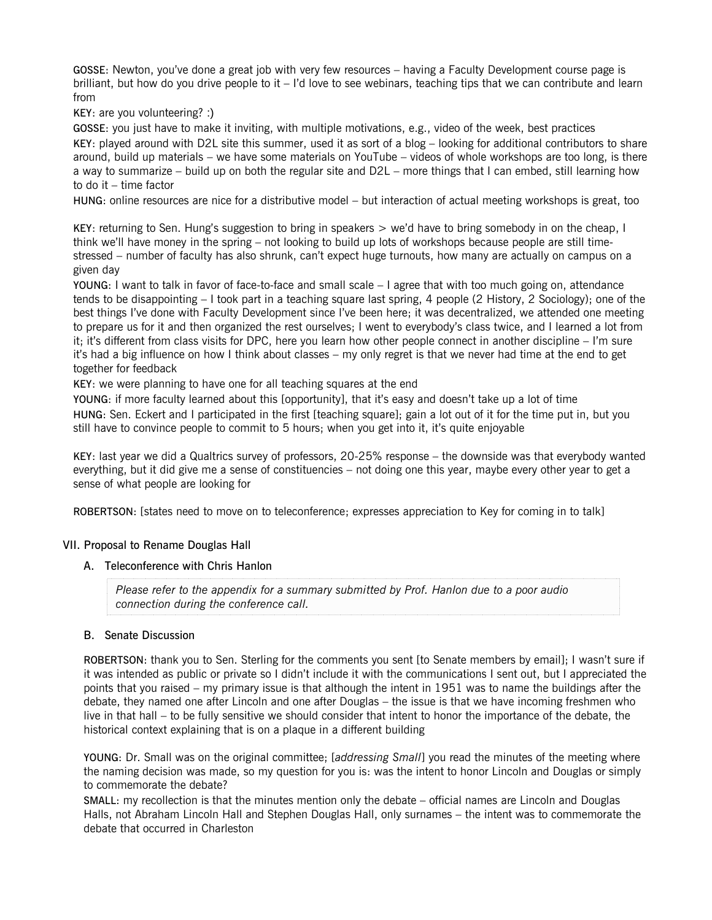GOSSE: Newton, you've done a great job with very few resources – having a Faculty Development course page is brilliant, but how do you drive people to it – I'd love to see webinars, teaching tips that we can contribute and learn from

KEY: are you volunteering? :)

GOSSE: you just have to make it inviting, with multiple motivations, e.g., video of the week, best practices KEY: played around with D2L site this summer, used it as sort of a blog – looking for additional contributors to share around, build up materials – we have some materials on YouTube – videos of whole workshops are too long, is there a way to summarize – build up on both the regular site and D2L – more things that I can embed, still learning how to do it – time factor

HUNG: online resources are nice for a distributive model – but interaction of actual meeting workshops is great, too

KEY: returning to Sen. Hung's suggestion to bring in speakers > we'd have to bring somebody in on the cheap, I think we'll have money in the spring – not looking to build up lots of workshops because people are still timestressed – number of faculty has also shrunk, can't expect huge turnouts, how many are actually on campus on a given day

YOUNG: I want to talk in favor of face-to-face and small scale – I agree that with too much going on, attendance tends to be disappointing – I took part in a teaching square last spring, 4 people (2 History, 2 Sociology); one of the best things I've done with Faculty Development since I've been here; it was decentralized, we attended one meeting to prepare us for it and then organized the rest ourselves; I went to everybody's class twice, and I learned a lot from it; it's different from class visits for DPC, here you learn how other people connect in another discipline – I'm sure it's had a big influence on how I think about classes – my only regret is that we never had time at the end to get together for feedback

KEY: we were planning to have one for all teaching squares at the end

YOUNG: if more faculty learned about this [opportunity], that it's easy and doesn't take up a lot of time HUNG: Sen. Eckert and I participated in the first [teaching square]; gain a lot out of it for the time put in, but you still have to convince people to commit to 5 hours; when you get into it, it's quite enjoyable

KEY: last year we did a Qualtrics survey of professors, 20-25% response – the downside was that everybody wanted everything, but it did give me a sense of constituencies – not doing one this year, maybe every other year to get a sense of what people are looking for

ROBERTSON: [states need to move on to teleconference; expresses appreciation to Key for coming in to talk]

## VII. Proposal to Rename Douglas Hall

A. Teleconference with Chris Hanlon

*Please refer to the appendix for a summary submitted by Prof. Hanlon due to a poor audio connection during the conference call.*

#### B. Senate Discussion

ROBERTSON: thank you to Sen. Sterling for the comments you sent [to Senate members by email]; I wasn't sure if it was intended as public or private so I didn't include it with the communications I sent out, but I appreciated the points that you raised – my primary issue is that although the intent in 1951 was to name the buildings after the debate, they named one after Lincoln and one after Douglas – the issue is that we have incoming freshmen who live in that hall – to be fully sensitive we should consider that intent to honor the importance of the debate, the historical context explaining that is on a plaque in a different building

YOUNG: Dr. Small was on the original committee; [*addressing Small*] you read the minutes of the meeting where the naming decision was made, so my question for you is: was the intent to honor Lincoln and Douglas or simply to commemorate the debate?

SMALL: my recollection is that the minutes mention only the debate – official names are Lincoln and Douglas Halls, not Abraham Lincoln Hall and Stephen Douglas Hall, only surnames – the intent was to commemorate the debate that occurred in Charleston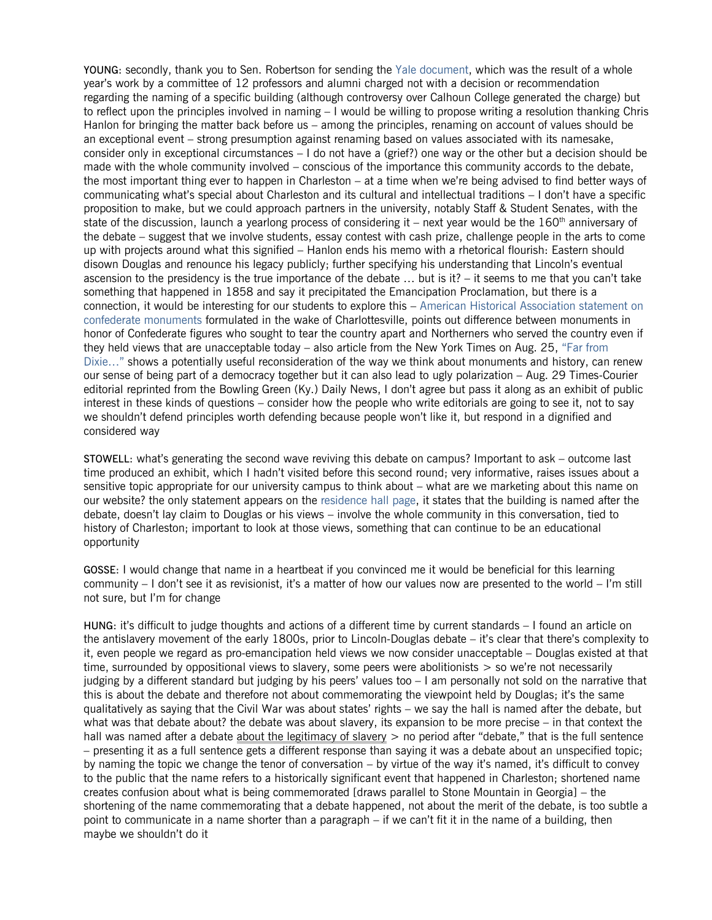YOUNG: secondly, thank you to Sen. Robertson for sending the [Yale document,](http://president.yale.edu/sites/default/files/files/CEPR_FINAL_12-2-16.pdf) which was the result of a whole year's work by a committee of 12 professors and alumni charged not with a decision or recommendation regarding the naming of a specific building (although controversy over Calhoun College generated the charge) but to reflect upon the principles involved in naming – I would be willing to propose writing a resolution thanking Chris Hanlon for bringing the matter back before us – among the principles, renaming on account of values should be an exceptional event – strong presumption against renaming based on values associated with its namesake, consider only in exceptional circumstances – I do not have a (grief?) one way or the other but a decision should be made with the whole community involved – conscious of the importance this community accords to the debate, the most important thing ever to happen in Charleston – at a time when we're being advised to find better ways of communicating what's special about Charleston and its cultural and intellectual traditions – I don't have a specific proposition to make, but we could approach partners in the university, notably Staff & Student Senates, with the state of the discussion, launch a yearlong process of considering it – next year would be the 160<sup>th</sup> anniversary of the debate – suggest that we involve students, essay contest with cash prize, challenge people in the arts to come up with projects around what this signified – Hanlon ends his memo with a rhetorical flourish: Eastern should disown Douglas and renounce his legacy publicly; further specifying his understanding that Lincoln's eventual ascension to the presidency is the true importance of the debate … but is it? – it seems to me that you can't take something that happened in 1858 and say it precipitated the Emancipation Proclamation, but there is a connection, it would be interesting for our students to explore this – [American Historical](https://www.historians.org/Documents/AHA%20Letters/AHA%20Statement%20on%20Confederate%20Monuments.pdf) Association statement on [confederate monuments](https://www.historians.org/Documents/AHA%20Letters/AHA%20Statement%20on%20Confederate%20Monuments.pdf) formulated in the wake of Charlottesville, points out difference between monuments in honor of Confederate figures who sought to tear the country apart and Northerners who served the country even if they held views that are unacceptable today – also article from the New York Times on Aug. 25, ["Far from](https://www.nytimes.com/2017/08/25/us/monuments-confederacy-remove-rename.html)  [Dixie…"](https://www.nytimes.com/2017/08/25/us/monuments-confederacy-remove-rename.html) shows a potentially useful reconsideration of the way we think about monuments and history, can renew our sense of being part of a democracy together but it can also lead to ugly polarization – Aug. 29 Times-Courier editorial reprinted from the Bowling Green (Ky.) Daily News, I don't agree but pass it along as an exhibit of public interest in these kinds of questions – consider how the people who write editorials are going to see it, not to say we shouldn't defend principles worth defending because people won't like it, but respond in a dignified and considered way

STOWELL: what's generating the second wave reviving this debate on campus? Important to ask – outcome last time produced an exhibit, which I hadn't visited before this second round; very informative, raises issues about a sensitive topic appropriate for our university campus to think about – what are we marketing about this name on our website? the only statement appears on the [residence hall page,](http://www.eiu.edu/housing/douglas.php) it states that the building is named after the debate, doesn't lay claim to Douglas or his views – involve the whole community in this conversation, tied to history of Charleston; important to look at those views, something that can continue to be an educational opportunity

GOSSE: I would change that name in a heartbeat if you convinced me it would be beneficial for this learning community – I don't see it as revisionist, it's a matter of how our values now are presented to the world – I'm still not sure, but I'm for change

HUNG: it's difficult to judge thoughts and actions of a different time by current standards – I found an article on the antislavery movement of the early 1800s, prior to Lincoln-Douglas debate – it's clear that there's complexity to it, even people we regard as pro-emancipation held views we now consider unacceptable – Douglas existed at that time, surrounded by oppositional views to slavery, some peers were abolitionists  $>$  so we're not necessarily judging by a different standard but judging by his peers' values too – I am personally not sold on the narrative that this is about the debate and therefore not about commemorating the viewpoint held by Douglas; it's the same qualitatively as saying that the Civil War was about states' rights – we say the hall is named after the debate, but what was that debate about? the debate was about slavery, its expansion to be more precise – in that context the hall was named after a debate about the legitimacy of slavery  $>$  no period after "debate," that is the full sentence – presenting it as a full sentence gets a different response than saying it was a debate about an unspecified topic; by naming the topic we change the tenor of conversation – by virtue of the way it's named, it's difficult to convey to the public that the name refers to a historically significant event that happened in Charleston; shortened name creates confusion about what is being commemorated [draws parallel to Stone Mountain in Georgia] – the shortening of the name commemorating that a debate happened, not about the merit of the debate, is too subtle a point to communicate in a name shorter than a paragraph – if we can't fit it in the name of a building, then maybe we shouldn't do it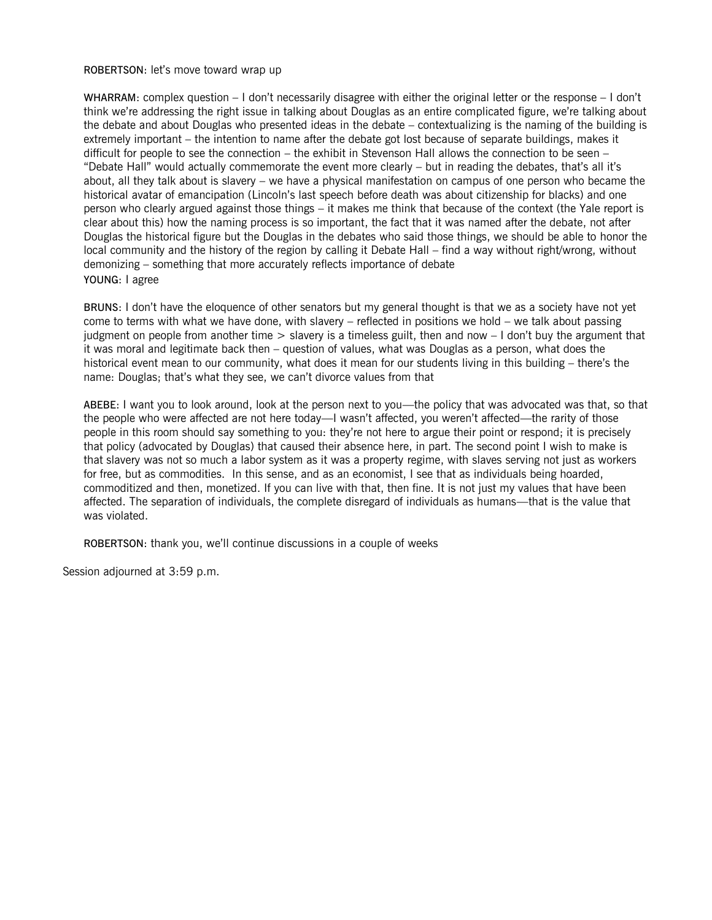#### ROBERTSON: let's move toward wrap up

WHARRAM: complex question – I don't necessarily disagree with either the original letter or the response – I don't think we're addressing the right issue in talking about Douglas as an entire complicated figure, we're talking about the debate and about Douglas who presented ideas in the debate – contextualizing is the naming of the building is extremely important – the intention to name after the debate got lost because of separate buildings, makes it difficult for people to see the connection – the exhibit in Stevenson Hall allows the connection to be seen – "Debate Hall" would actually commemorate the event more clearly – but in reading the debates, that's all it's about, all they talk about is slavery – we have a physical manifestation on campus of one person who became the historical avatar of emancipation (Lincoln's last speech before death was about citizenship for blacks) and one person who clearly argued against those things – it makes me think that because of the context (the Yale report is clear about this) how the naming process is so important, the fact that it was named after the debate, not after Douglas the historical figure but the Douglas in the debates who said those things, we should be able to honor the local community and the history of the region by calling it Debate Hall – find a way without right/wrong, without demonizing – something that more accurately reflects importance of debate YOUNG: I agree

BRUNS: I don't have the eloquence of other senators but my general thought is that we as a society have not yet come to terms with what we have done, with slavery – reflected in positions we hold – we talk about passing judgment on people from another time  $>$  slavery is a timeless guilt, then and now  $-1$  don't buy the argument that it was moral and legitimate back then – question of values, what was Douglas as a person, what does the historical event mean to our community, what does it mean for our students living in this building – there's the name: Douglas; that's what they see, we can't divorce values from that

ABEBE: I want you to look around, look at the person next to you—the policy that was advocated was that, so that the people who were affected are not here today—I wasn't affected, you weren't affected—the rarity of those people in this room should say something to you: they're not here to argue their point or respond; it is precisely that policy (advocated by Douglas) that caused their absence here, in part. The second point I wish to make is that slavery was not so much a labor system as it was a property regime, with slaves serving not just as workers for free, but as commodities. In this sense, and as an economist, I see that as individuals being hoarded, commoditized and then, monetized. If you can live with that, then fine. It is not just my values that have been affected. The separation of individuals, the complete disregard of individuals as humans—that is the value that was violated.

ROBERTSON: thank you, we'll continue discussions in a couple of weeks

Session adjourned at 3:59 p.m.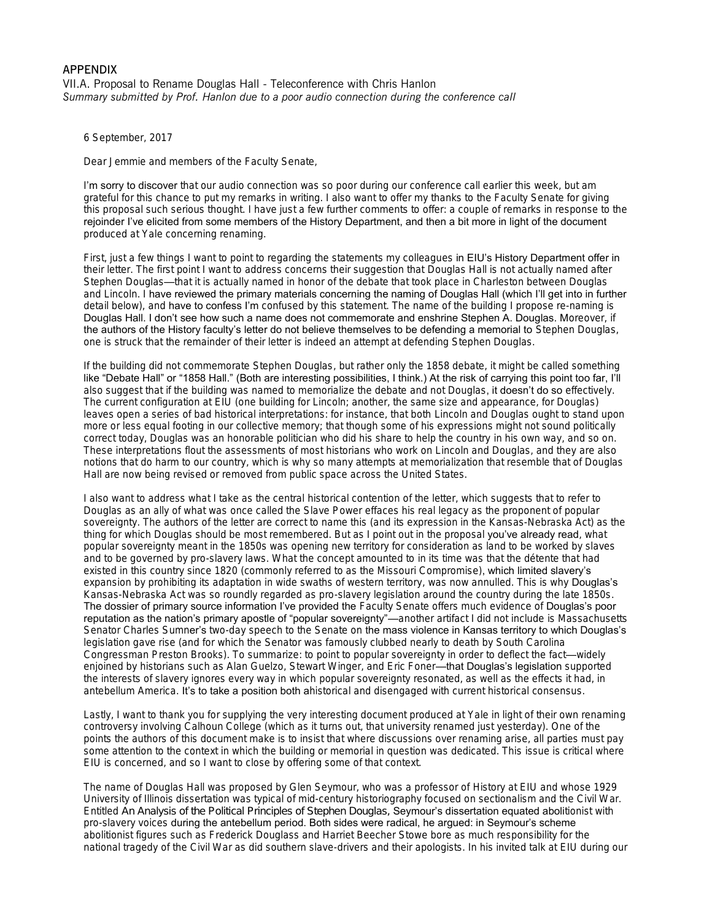#### APPENDIX VII.A. Proposal to Rename Douglas Hall - Teleconference with Chris Hanlon *Summary submitted by Prof. Hanlon due to a poor audio connection during the conference call*

6 September, 2017

Dear Jemmie and members of the Faculty Senate,

I'm sorry to discover that our audio connection was so poor during our conference call earlier this week, but am grateful for this chance to put my remarks in writing. I also want to offer my thanks to the Faculty Senate for giving this proposal such serious thought. I have just a few further comments to offer: a couple of remarks in response to the rejoinder I've elicited from some members of the History Department, and then a bit more in light of the document produced at Yale concerning renaming.

First, just a few things I want to point to regarding the statements my colleagues in EIU's History Department offer in their letter. The first point I want to address concerns their suggestion that Douglas Hall is not actually named after Stephen Douglas—that it is actually named in honor of the debate that took place in Charleston between Douglas and Lincoln. I have reviewed the primary materials concerning the naming of Douglas Hall (which I'll get into in further detail below), and have to confess I'm confused by this statement. The name of the building I propose re-naming is Douglas Hall. I don't see how such a name does not commemorate and enshrine Stephen A. Douglas. Moreover, if the authors of the History faculty's letter do not believe themselves to be defending a memorial to Stephen Douglas, one is struck that the remainder of their letter is indeed an attempt at defending Stephen Douglas.

If the building did not commemorate Stephen Douglas, but rather only the 1858 debate, it might be called something like "Debate Hall" or "1858 Hall." (Both are interesting possibilities, I think.) At the risk of carrying this point too far, I'll also suggest that if the building was named to memorialize the debate and not Douglas, it doesn't do so effectively. The current configuration at EIU (one building for Lincoln; another, the same size and appearance, for Douglas) leaves open a series of bad historical interpretations: for instance, that both Lincoln and Douglas ought to stand upon more or less equal footing in our collective memory; that though some of his expressions might not sound politically correct today, Douglas was an honorable politician who did his share to help the country in his own way, and so on. These interpretations flout the assessments of most historians who work on Lincoln and Douglas, and they are also notions that do harm to our country, which is why so many attempts at memorialization that resemble that of Douglas Hall are now being revised or removed from public space across the United States.

I also want to address what I take as the central historical contention of the letter, which suggests that to refer to Douglas as an ally of what was once called the Slave Power effaces his real legacy as the proponent of popular sovereignty. The authors of the letter are correct to name this (and its expression in the Kansas-Nebraska Act) as the thing for which Douglas should be most remembered. But as I point out in the proposal you've already read, what popular sovereignty meant in the 1850s was opening new territory for consideration as land to be worked by slaves and to be governed by pro-slavery laws. What the concept amounted to in its time was that the détente that had existed in this country since 1820 (commonly referred to as the Missouri Compromise), which limited slavery's expansion by prohibiting its adaptation in wide swaths of western territory, was now annulled. This is why **Douglas's** Kansas-Nebraska Act was so roundly regarded as pro-slavery legislation around the country during the late 1850s. The dossier of primary source information I've provided the Faculty Senate offers much evidence of Douglas's poor reputation as the nation's primary apostle of "popular sovereignty"—another artifact I did not include is Massachusetts Senator Charles Sumner's two-day speech to the Senate on the mass violence in Kansas territory to which Douglas's legislation gave rise (and for which the Senator was famously clubbed nearly to death by South Carolina Congressman Preston Brooks). To summarize: to point to popular sovereignty in order to deflect the fact—widely enjoined by historians such as Alan Guelzo, Stewart Winger, and Eric Foner-that Douglas's legislation supported the interests of slavery ignores every way in which popular sovereignty resonated, as well as the effects it had, in antebellum America. It's to take a position both ahistorical and disengaged with current historical consensus.

Lastly, I want to thank you for supplying the very interesting document produced at Yale in light of their own renaming controversy involving Calhoun College (which as it turns out, that university renamed just yesterday). One of the points the authors of this document make is to insist that where discussions over renaming arise, all parties must pay some attention to the context in which the building or memorial in question was dedicated. This issue is critical where EIU is concerned, and so I want to close by offering some of that context.

The name of Douglas Hall was proposed by Glen Seymour, who was a professor of History at EIU and whose 1929 University of Illinois dissertation was typical of mid-century historiography focused on sectionalism and the Civil War. Entitled *An Analysis of the Political Principles of Stephen Douglas,* Seymour's dissertation equated abolitionist with pro-slavery voices during the antebellum period. Both sides were radical, he argued: in Seymour's scheme abolitionist figures such as Frederick Douglass and Harriet Beecher Stowe bore as much responsibility for the national tragedy of the Civil War as did southern slave-drivers and their apologists. In his invited talk at EIU during our